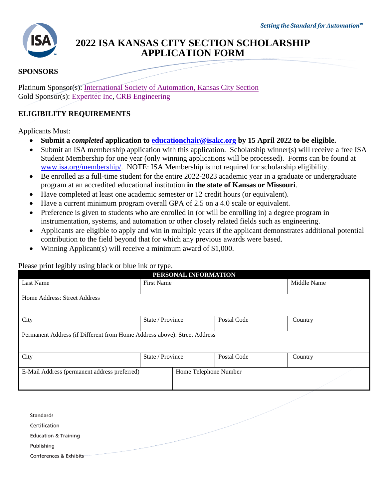

# **2022 ISA KANSAS CITY SECTION SCHOLARSHIP APPLICATION FORM**

# **SPONSORS**

Platinum Sponsor(s): [International Society of Automation, Kansas City Section](https://isakc.org/) Gold Sponsor(s): [Experitec Inc,](http://www.experitec.com/) [CRB Engineering](https://www.crbgroup.com/)

# **ELIGIBILITY REQUIREMENTS**

Applicants Must:

- **Submit a** *completed* **application to [educationchair@isakc.org](mailto:educationchair@isakc.org) by 15 April 2022 to be eligible.**
- Submit an ISA membership application with this application. Scholarship winner(s) will receive a free ISA Student Membership for one year (only winning applications will be processed). Forms can be found at [www.isa.org/membership/.](http://www.isa.org/membership/) NOTE: ISA Membership is not required for scholarship eligibility.
- Be enrolled as a full-time student for the entire 2022-2023 academic year in a graduate or undergraduate program at an accredited educational institution **in the state of Kansas or Missouri**.
- Have completed at least one academic semester or 12 credit hours (or equivalent).
- Have a current minimum program overall GPA of 2.5 on a 4.0 scale or equivalent.
- Preference is given to students who are enrolled in (or will be enrolling in) a degree program in instrumentation, systems, and automation or other closely related fields such as engineering.
- Applicants are eligible to apply and win in multiple years if the applicant demonstrates additional potential contribution to the field beyond that for which any previous awards were based.
- Winning Applicant(s) will receive a minimum award of \$1,000.

# Please print legibly using black or blue ink or type.

| reade print regress admits crater or crate that or type:<br>PERSONAL INFORMATION |                                                                          |                       |             |  |  |  |  |  |
|----------------------------------------------------------------------------------|--------------------------------------------------------------------------|-----------------------|-------------|--|--|--|--|--|
| Last Name                                                                        | <b>First Name</b>                                                        |                       | Middle Name |  |  |  |  |  |
| Home Address: Street Address                                                     |                                                                          |                       |             |  |  |  |  |  |
| City                                                                             | State / Province                                                         | Postal Code           | Country     |  |  |  |  |  |
|                                                                                  | Permanent Address (if Different from Home Address above): Street Address |                       |             |  |  |  |  |  |
| City                                                                             | State / Province                                                         | Postal Code           | Country     |  |  |  |  |  |
| E-Mail Address (permanent address preferred)                                     |                                                                          | Home Telephone Number |             |  |  |  |  |  |

| Standards                       |  |
|---------------------------------|--|
| Certification                   |  |
| <b>Education &amp; Training</b> |  |
| Publishing                      |  |
| Conferences & Exhibits          |  |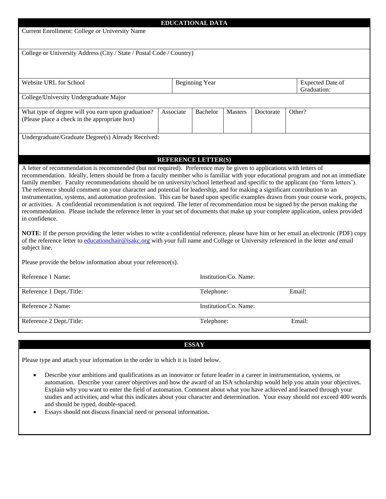| <b>EDUCATIONAL DATA</b>                                                                                                                                                                                                                                                                               |                       |                            |  |           |        |                         |  |  |  |
|-------------------------------------------------------------------------------------------------------------------------------------------------------------------------------------------------------------------------------------------------------------------------------------------------------|-----------------------|----------------------------|--|-----------|--------|-------------------------|--|--|--|
| Current Enrollment: College or University Name                                                                                                                                                                                                                                                        |                       |                            |  |           |        |                         |  |  |  |
|                                                                                                                                                                                                                                                                                                       |                       |                            |  |           |        |                         |  |  |  |
| College or University Address (City / State / Postal Code / Country)                                                                                                                                                                                                                                  |                       |                            |  |           |        |                         |  |  |  |
|                                                                                                                                                                                                                                                                                                       |                       |                            |  |           |        |                         |  |  |  |
|                                                                                                                                                                                                                                                                                                       |                       |                            |  |           |        |                         |  |  |  |
| Website URL for School                                                                                                                                                                                                                                                                                |                       | <b>Beginning Year</b>      |  |           |        | <b>Expected Date of</b> |  |  |  |
|                                                                                                                                                                                                                                                                                                       |                       |                            |  |           |        | Graduation:             |  |  |  |
| College/University Undergraduate Major                                                                                                                                                                                                                                                                |                       |                            |  |           |        |                         |  |  |  |
| What type of degree will you earn upon graduation?                                                                                                                                                                                                                                                    | Associate             | Bachelor<br><b>Masters</b> |  | Doctorate | Other? |                         |  |  |  |
| (Please place a check in the appropriate box)                                                                                                                                                                                                                                                         |                       |                            |  |           |        |                         |  |  |  |
|                                                                                                                                                                                                                                                                                                       |                       |                            |  |           |        |                         |  |  |  |
| Undergraduate/Graduate Degree(s) Already Received:                                                                                                                                                                                                                                                    |                       |                            |  |           |        |                         |  |  |  |
|                                                                                                                                                                                                                                                                                                       |                       |                            |  |           |        |                         |  |  |  |
|                                                                                                                                                                                                                                                                                                       |                       | <b>REFERENCE LETTER(S)</b> |  |           |        |                         |  |  |  |
| A letter of recommendation is recommended (but not required). Preference may be given to applications with letters of                                                                                                                                                                                 |                       |                            |  |           |        |                         |  |  |  |
| recommendation. Ideally, letters should be from a faculty member who is familiar with your educational program and not an immediate                                                                                                                                                                   |                       |                            |  |           |        |                         |  |  |  |
| family member. Faculty recommendations should be on university/school letterhead and specific to the applicant (no 'form letters').                                                                                                                                                                   |                       |                            |  |           |        |                         |  |  |  |
| The reference should comment on your character and potential for leadership, and for making a significant contribution to an<br>instrumentation, systems, and automation profession. This can be based upon specific examples drawn from your course work, projects,                                  |                       |                            |  |           |        |                         |  |  |  |
| or activities. A confidential recommendation is not required. The letter of recommendation must be signed by the person making the                                                                                                                                                                    |                       |                            |  |           |        |                         |  |  |  |
| recommendation. Please include the reference letter in your set of documents that make up your complete application, unless provided                                                                                                                                                                  |                       |                            |  |           |        |                         |  |  |  |
| in confidence.                                                                                                                                                                                                                                                                                        |                       |                            |  |           |        |                         |  |  |  |
|                                                                                                                                                                                                                                                                                                       |                       |                            |  |           |        |                         |  |  |  |
| <b>NOTE:</b> If the person providing the letter wishes to write a confidential reference, please have him or her email an electronic (PDF) copy<br>of the reference letter to <i>educationchair@isakc.org</i> with your full name and College or University referenced in the letter <i>and</i> email |                       |                            |  |           |        |                         |  |  |  |
| subject line.                                                                                                                                                                                                                                                                                         |                       |                            |  |           |        |                         |  |  |  |
|                                                                                                                                                                                                                                                                                                       |                       |                            |  |           |        |                         |  |  |  |
| Please provide the below information about your reference(s).                                                                                                                                                                                                                                         |                       |                            |  |           |        |                         |  |  |  |
| Reference 1 Name:                                                                                                                                                                                                                                                                                     | Institution/Co. Name: |                            |  |           |        |                         |  |  |  |
|                                                                                                                                                                                                                                                                                                       |                       |                            |  |           |        |                         |  |  |  |
| Reference 1 Dept./Title:                                                                                                                                                                                                                                                                              |                       | Telephone:                 |  | Email:    |        |                         |  |  |  |
| Reference 2 Name:<br>Institution/Co. Name:                                                                                                                                                                                                                                                            |                       |                            |  |           |        |                         |  |  |  |
|                                                                                                                                                                                                                                                                                                       |                       |                            |  |           |        |                         |  |  |  |
| Reference 2 Dept./Title:                                                                                                                                                                                                                                                                              |                       | Telephone:                 |  |           | Email: |                         |  |  |  |
|                                                                                                                                                                                                                                                                                                       |                       |                            |  |           |        |                         |  |  |  |
|                                                                                                                                                                                                                                                                                                       |                       | <b>ESSAY</b>               |  |           |        |                         |  |  |  |
|                                                                                                                                                                                                                                                                                                       |                       |                            |  |           |        |                         |  |  |  |
| Please type and attach your information in the order in which it is listed below.                                                                                                                                                                                                                     |                       |                            |  |           |        |                         |  |  |  |

- Describe your ambitions and qualifications as an innovator or future leader in a career in instrumentation, systems, or automation. Describe your career objectives and how the award of an ISA scholarship would help you attain your objectives. Explain why you want to enter the field of automation. Comment about what you have achieved and learned through your studies and activities, and what this indicates about your character and determination. Your essay should not exceed 400 words and should be typed, double-spaced.
- Essays should not discuss financial need or personal information.